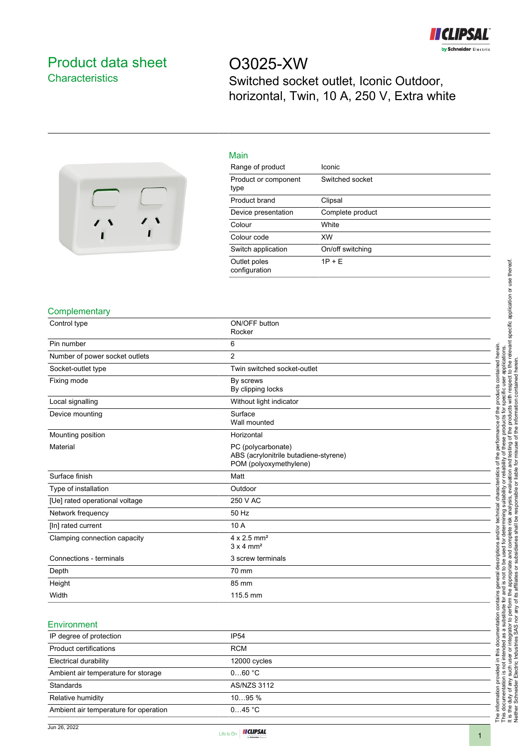

# <span id="page-0-0"></span>Product data sheet **Characteristics**

O3025-XW Switched socket outlet, Iconic Outdoor, horizontal, Twin, 10 A, 250 V, Extra white



| Main                          |                  |
|-------------------------------|------------------|
| Range of product              | Iconic           |
| Product or component<br>type  | Switched socket  |
| Product brand                 | Clipsal          |
| Device presentation           | Complete product |
| Colour                        | White            |
| Colour code                   | <b>XW</b>        |
| Switch application            | On/off switching |
| Outlet poles<br>configuration | $1P + E$         |

#### **Complementary**

| Control type                   | ON/OFF button<br>Rocker                                                               |
|--------------------------------|---------------------------------------------------------------------------------------|
| Pin number                     | 6                                                                                     |
| Number of power socket outlets | 2                                                                                     |
| Socket-outlet type             | Twin switched socket-outlet                                                           |
| Fixing mode                    | By screws<br>By clipping locks                                                        |
| Local signalling               | Without light indicator                                                               |
| Device mounting                | Surface<br>Wall mounted                                                               |
| Mounting position              | Horizontal                                                                            |
| Material                       | PC (polycarbonate)<br>ABS (acrylonitrile butadiene-styrene)<br>POM (polyoxymethylene) |
| Surface finish                 | Matt                                                                                  |
| Type of installation           | Outdoor                                                                               |
| [Ue] rated operational voltage | 250 V AC                                                                              |
| Network frequency              | 50 Hz                                                                                 |
| [In] rated current             | 10 A                                                                                  |
| Clamping connection capacity   | $4 \times 2.5$ mm <sup>2</sup><br>$3 \times 4$ mm <sup>2</sup>                        |
| Connections - terminals        | 3 screw terminals                                                                     |
| Depth                          | 70 mm                                                                                 |
| Height                         | 85 mm                                                                                 |
| Width                          | 115.5 mm                                                                              |

#### **Environment**

| IP degree of protection               | <b>IP54</b>        |
|---------------------------------------|--------------------|
| Product certifications                | <b>RCM</b>         |
| Electrical durability                 | 12000 cycles       |
| Ambient air temperature for storage   | 060 °C             |
| Standards                             | <b>AS/NZS 3112</b> |
| Relative humidity                     | $1095\%$           |
| Ambient air temperature for operation | 045 °C             |